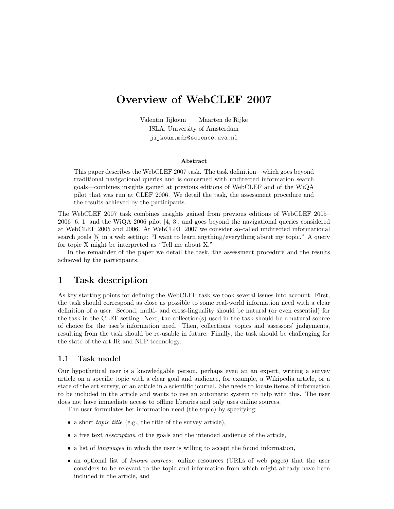# Overview of WebCLEF 2007

Valentin Jijkoun Maarten de Rijke ISLA, University of Amsterdam jijkoun,mdr@science.uva.nl

#### Abstract

This paper describes the WebCLEF 2007 task. The task definition—which goes beyond traditional navigational queries and is concerned with undirected information search goals—combines insights gained at previous editions of WebCLEF and of the WiQA pilot that was run at CLEF 2006. We detail the task, the assessment procedure and the results achieved by the participants.

The WebCLEF 2007 task combines insights gained from previous editions of WebCLEF 2005– 2006 [6, 1] and the WiQA 2006 pilot [4, 3], and goes beyond the navigational queries considered at WebCLEF 2005 and 2006. At WebCLEF 2007 we consider so-called undirected informational search goals [5] in a web setting: "I want to learn anything/everything about my topic." A query for topic X might be interpreted as "Tell me about X."

In the remainder of the paper we detail the task, the assessment procedure and the results achieved by the participants.

### 1 Task description

As key starting points for defining the WebCLEF task we took several issues into account. First, the task should correspond as close as possible to some real-world information need with a clear definition of a user. Second, multi- and cross-linguality should be natural (or even essential) for the task in the CLEF setting. Next, the collection(s) used in the task should be a natural source of choice for the user's information need. Then, collections, topics and assessors' judgements, resulting from the task should be re-usable in future. Finally, the task should be challenging for the state-of-the-art IR and NLP technology.

#### 1.1 Task model

Our hypothetical user is a knowledgable person, perhaps even an an expert, writing a survey article on a specific topic with a clear goal and audience, for example, a Wikipedia article, or a state of the art survey, or an article in a scientific journal. She needs to locate items of information to be included in the article and wants to use an automatic system to help with this. The user does not have immediate access to offline libraries and only uses online sources.

The user formulates her information need (the topic) by specifying:

- a short *topic title* (e.g., the title of the survey article),
- a free text *description* of the goals and the intended audience of the article,
- a list of languages in which the user is willing to accept the found information,
- an optional list of known sources: online resources (URLs of web pages) that the user considers to be relevant to the topic and information from which might already have been included in the article, and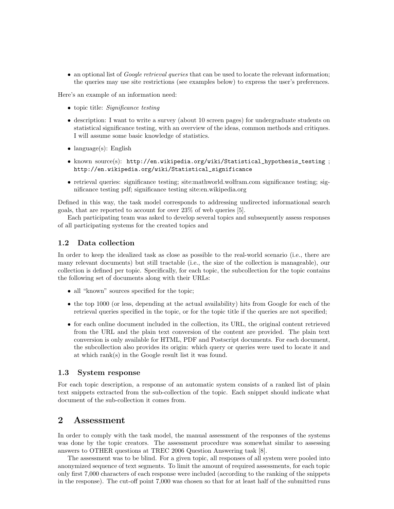• an optional list of *Google retrieval queries* that can be used to locate the relevant information; the queries may use site restrictions (see examples below) to express the user's preferences.

Here's an example of an information need:

- topic title: Significance testing
- description: I want to write a survey (about 10 screen pages) for undergraduate students on statistical significance testing, with an overview of the ideas, common methods and critiques. I will assume some basic knowledge of statistics.
- language(s): English
- known source(s): http://en.wikipedia.org/wiki/Statistical\_hypothesis\_testing ; http://en.wikipedia.org/wiki/Statistical\_significance
- retrieval queries: significance testing; site:mathworld.wolfram.com significance testing; significance testing pdf; significance testing site:en.wikipedia.org

Defined in this way, the task model corresponds to addressing undirected informational search goals, that are reported to account for over 23% of web queries [5].

Each participating team was asked to develop several topics and subsequently assess responses of all participating systems for the created topics and

#### 1.2 Data collection

In order to keep the idealized task as close as possible to the real-world scenario (i.e., there are many relevant documents) but still tractable (i.e., the size of the collection is manageable), our collection is defined per topic. Specifically, for each topic, the subcollection for the topic contains the following set of documents along with their URLs:

- all "known" sources specified for the topic;
- the top 1000 (or less, depending at the actual availability) hits from Google for each of the retrieval queries specified in the topic, or for the topic title if the queries are not specified;
- for each online document included in the collection, its URL, the original content retrieved from the URL and the plain text conversion of the content are provided. The plain text conversion is only available for HTML, PDF and Postscript documents. For each document, the subcollection also provides its origin: which query or queries were used to locate it and at which rank(s) in the Google result list it was found.

#### 1.3 System response

For each topic description, a response of an automatic system consists of a ranked list of plain text snippets extracted from the sub-collection of the topic. Each snippet should indicate what document of the sub-collection it comes from.

#### 2 Assessment

In order to comply with the task model, the manual assessment of the responses of the systems was done by the topic creators. The assessment procedure was somewhat similar to assessing answers to OTHER questions at TREC 2006 Question Answering task [8].

The assessment was to be blind. For a given topic, all responses of all system were pooled into anonymized sequence of text segments. To limit the amount of required assessments, for each topic only first 7,000 characters of each response were included (according to the ranking of the snippets in the response). The cut-off point 7,000 was chosen so that for at least half of the submitted runs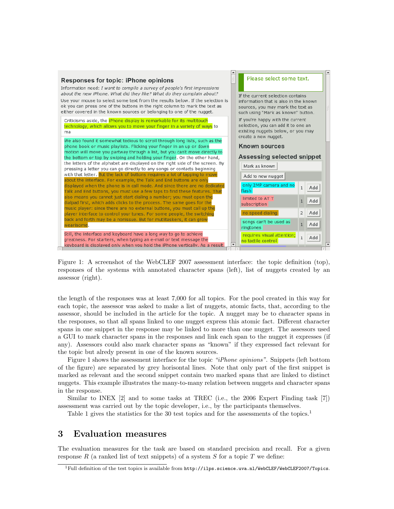

Figure 1: A screenshot of the WebCLEF 2007 assessment interface: the topic definition (top), responses of the systems with annotated character spans (left), list of nuggets created by an assessor (right).

the length of the responses was at least 7,000 for all topics. For the pool created in this way for each topic, the assessor was asked to make a list of nuggets, atomic facts, that, according to the assessor, should be included in the article for the topic. A nugget may be to character spans in the responses, so that all spans linked to one nugget express this atomic fact. Different character spans in one snippet in the response may be linked to more than one nugget. The assessors used a GUI to mark character spans in the responses and link each span to the nugget it expresses (if any). Assessors could also mark character spans as "known" if they expressed fact relevant for the topic but alredy present in one of the known sources.

Figure 1 shows the assessment interface for the topic "iPhone opinions". Snippets (left bottom of the figure) are separated by grey horisontal lines. Note that only part of the first snippet is marked as relevant and the second snippet contain two marked spans that are linked to distinct nuggets. This example illustrates the many-to-many relation between nuggets and character spans in the response.

Similar to INEX  $[2]$  and to some tasks at TREC (i.e., the 2006 Expert Finding task  $[7]$ ) assessment was carried out by the topic developer, i.e., by the participants themselves.

Table 1 gives the statistics for the 30 test topics and for the assessments of the topics.<sup>1</sup>

### 3 Evaluation measures

The evaluation measures for the task are based on standard precision and recall. For a given response R (a ranked list of text snippets) of a system S for a topic T we define:

 $^1$ Full definition of the test topics is available from  ${\tt http://ilps.science.uva.nl/WebCLEF/WebCLEF2007/Topics.}$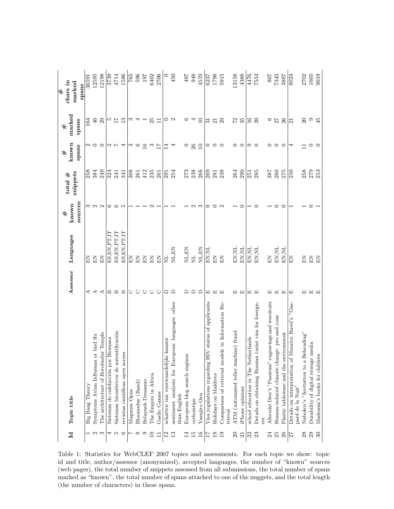| $\mathbf{I}$    | Topic title                                                               | Assessor     | Languages      | $\#$              | total $#$ | known<br>#      | marked<br>$\#$      | chars in<br>#   |
|-----------------|---------------------------------------------------------------------------|--------------|----------------|-------------------|-----------|-----------------|---------------------|-----------------|
|                 |                                                                           |              |                | sources<br>known  | snippets  | spans           | spans               | marked<br>spans |
|                 | Big Bang Theory                                                           | ⋖            | 덮              |                   | 258       |                 | 164                 | 36591           |
| $\sim$ $\sim$   | or bird flu<br>Symptoms Avian Influenza                                   | ⋖            | KE             | $\sim$ $\sim$     | 384       | $\sim$ $\sim$   | $\frac{4}{6}$       | 12595           |
|                 | The architecture of Borobudur Temple                                      | ≺            | $_{\rm EI}$    |                   | 249       | $\circ$         | 29                  | 12198           |
| 4               | Biomasa<br>Sistemas de calefacción por                                    | മ            | ES, EN, PT, IT | అ                 | 324       | コレ              | 10                  | 3739            |
| P               | Sistemas biométricos de autentificación                                   | മ            | ES, EN, PT, IT | ల                 | 241       |                 | $\overline{L}$      | 4714            |
| $\circ$         | revistas científicas open access                                          | $\mathbf{m}$ | ES, EN, PT, IT | S                 | 341       | ₹               | 13                  | 1586            |
|                 | Magnum Opus                                                               | ↻            | 召回             |                   | 308       | က ယ             | ಌ                   |                 |
| $\infty$        | Bloomsday (Band)                                                          | ↻            | $\mathbb{E}$   |                   | 261       |                 |                     | $\frac{65}{65}$ |
| $\circ$         | Belayneh Densamo                                                          | ↻            | $\Xi$          |                   | 412       | 16              |                     | 197             |
| $\Box$          | The Empire in Africa                                                      | ↻            | $\Xi$          | $\mathbf{\Omega}$ | 235       | S               | 25                  | 6402            |
| $\Box$          | Gaelic Games                                                              | ○            | $\Xi$          |                   | 261       | $\overline{17}$ | Ξ                   | 2706            |
| 12              | schatten van voorwaardelijke kansen                                       | ≏            | ΣN             |                   | 291       | 14              | 0                   | $\circ$         |
| 13              | sentiment analysis for European languages other<br>than English           | ≏            | $\rm NL, EN$   |                   | 254       | 4               | $\sim$              | 450             |
| $\overline{14}$ | ES<br>European blog search engin                                          |              | $\rm NL, EN$   |                   | 273       | 0               | అ                   | 497             |
| $\overline{5}$  | verhuistips                                                               | ≏            | $\overline{z}$ | N                 | 238       | 26              |                     | 948             |
| $16\,$          | Yasujiro Ozu                                                              | ≏            | NL,EN          | ಌ                 | 268       | 10              | $\Box$              | 4570            |
| 17              | HIV status of applicants<br>Visa regulations regarding                    | 囗            | EN, NL         |                   | 269       | 0               | ವ                   | 6237            |
| $\frac{8}{2}$   | Holidays on Maldives                                                      | ⊡            | $_{\rm EI}$    |                   | 281       | $\circ$         | 21                  | 1798            |
| 19              | Comparison of retrieval models in Information Re-<br>trieval              | 囸            | $\tilde{E}$    | $\sim$            | 238       | $\circ$         | 29                  | 5915            |
| $\Omega$        | ATM (automated teller machine) fraud                                      | 冚            | EN, NL         |                   | 264       | ⊂               | 22                  | 13158           |
| $\overline{21}$ | iPhone opinions                                                           | 国            | EN, NL         | ⊂                 | 290       | $\circ$         | 35                  | 4388            |
| 22              | school education in The Netherlands                                       | ⊡            | EN, NL         |                   | 251       | ာ င             | $\frac{6}{1}$       | 4476            |
| 23              | n turist visa for foreign-<br>Details on obtaining Russia                 | Œ            | EN, NL         |                   | 285       |                 | 39                  | 7553            |
|                 | ers                                                                       |              |                |                   |           |                 |                     |                 |
| 24              | Albrecht Drer's "Passions" engravings and woodcuts                        | 冚            | KH             |                   | 387       | ⊂               | $\circ$             | <b>708</b>      |
| 25              | Human-induced climate change: pro and cons                                | [r]          | EN, NL         |                   | 260       | $\circ$         | $\overline{27}$     | 7345            |
| 26              | Plastic tableware and the environment                                     | $\boxed{1}$  | EN, NL         | ⊂                 | 275       | $\circ$         | 26                  | 3887            |
| 27              | Maurice Ravel's "Gas-<br>Details on interpretation of<br>pard de la Nuit" | 囯            | $\mathbb{E}$   |                   | 250       | 4               | $\overline{\Omega}$ | 8024            |
| 28              | Beheading"<br>Nabokov's "Invitation to a                                  | ⊡            | 召              |                   | 258       | $\Box$          | $\mathfrak{D}$      | 2702            |
| 29              | Durability of digital storage media                                       | 回 国          | $\Xi$          |                   | 279       | $\circ$         | o<br>45             | 1605            |
| $\mathcal{S}$   | Madonna's books for children                                              |              | $\Xi$          |                   | 253       | $\subset$       |                     | 9019            |

Table 1: Statistics for WebCLEF 2007 topics and assessments. For each topic we show: topic id and title, author/assessor (anonymized), accepted languages, the number of "known" sources (web pages), the total number of snippets assessed from all submissions, the total number of spans marked as "known", the total number of spans attached to one of the nuggets, and the total length (the number of characters) in these spans.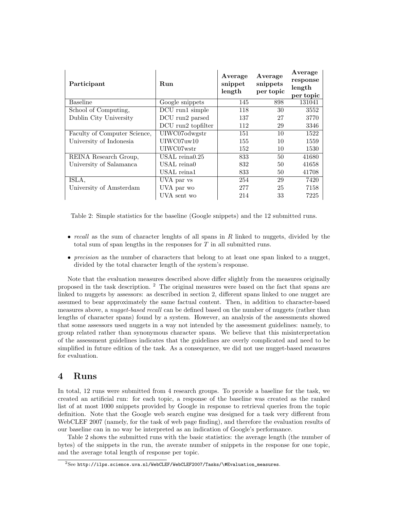| Participant                  | Run                | Average<br>snippet<br>length | Average<br>snippets<br>per topic | Average<br>response<br>length<br>per topic |
|------------------------------|--------------------|------------------------------|----------------------------------|--------------------------------------------|
| <b>Baseline</b>              | Google snippets    | 145                          | 898                              | 131041                                     |
| School of Computing,         | DCU run1 simple    | 118                          | 30                               | 3552                                       |
| Dublin City University       | DCU run2 parsed    | 137                          | 27                               | 3770                                       |
|                              | DCU run2 topfilter | 112                          | 29                               | 3346                                       |
| Faculty of Computer Science, | UIWC07odwgstr      | 151                          | 10                               | 1522                                       |
| University of Indonesia      | UIWC07uw10         | 155                          | 10                               | 1559                                       |
|                              | UIWC07wstr         | 152                          | 10                               | 1530                                       |
| REINA Research Group,        | USAL reina $0.25$  | 833                          | 50                               | 41680                                      |
| University of Salamanca      | USAL reina0        | 832                          | 50                               | 41658                                      |
|                              | USAL reina1        | 833                          | 50                               | 41708                                      |
| ISLA,                        | UVA par vs         | 254                          | 29                               | 7420                                       |
| University of Amsterdam      | UVA par wo         | 277                          | 25                               | 7158                                       |
|                              | UVA sent wo        | 214                          | 33                               | 7225                                       |

Table 2: Simple statistics for the baseline (Google snippets) and the 12 submitted runs.

- recall as the sum of character lenghts of all spans in  $R$  linked to nuggets, divided by the total sum of span lengths in the responses for T in all submitted runs.
- *precision* as the number of characters that belong to at least one span linked to a nugget, divided by the total character length of the system's response.

Note that the evaluation measures described above differ slightly from the measures originally proposed in the task description. <sup>2</sup> The original measures were based on the fact that spans are linked to nuggets by assessors: as described in section 2, different spans linked to one nugget are assumed to bear approximately the same factual content. Then, in addition to character-based measures above, a *nugget-based recall* can be defined based on the number of nuggets (rather than lengths of character spans) found by a system. However, an analysis of the assessments showed that some assessors used nuggets in a way not intended by the assessment guidelines: namely, to group related rather than synonymous character spans. We believe that this misinterpretation of the assessment guidelines indicates that the guidelines are overly complicated and need to be simplified in future edition of the task. As a consequence, we did not use nugget-based measures for evaluation.

#### 4 Runs

In total, 12 runs were submitted from 4 research groups. To provide a baseline for the task, we created an artificial run: for each topic, a response of the baseline was created as the ranked list of at most 1000 snippets provided by Google in response to retrieval queries from the topic definition. Note that the Google web search engine was designed for a task very different from WebCLEF 2007 (namely, for the task of web page finding), and therefore the evaluation results of our baseline can in no way be interpreted as an indication of Google's performance.

Table 2 shows the submitted runs with the basic statistics: the average length (the number of bytes) of the snippets in the run, the averate number of snippets in the response for one topic, and the average total length of response per topic.

 $^{2}$ See http://ilps.science.uva.nl/WebCLEF/WebCLEF2007/Tasks/\#Evaluation\_measures.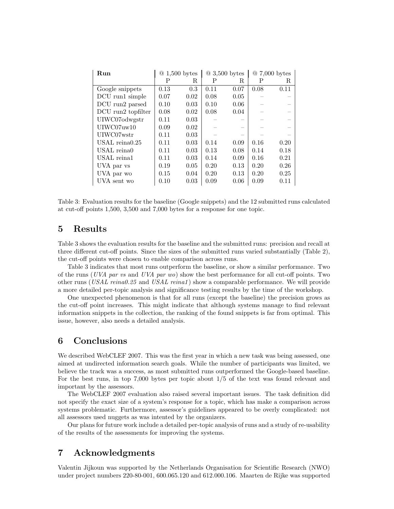| Run                |      | $@1,500$ bytes |      | $@3,500$ bytes |      | $@7,000$ bytes |
|--------------------|------|----------------|------|----------------|------|----------------|
|                    | Р    | R              | Ρ    | R.             | Ρ    | R.             |
| Google snippets    | 0.13 | 0.3            | 0.11 | 0.07           | 0.08 | 0.11           |
| DCU run1 simple    | 0.07 | 0.02           | 0.08 | 0.05           |      |                |
| DCU run2 parsed    | 0.10 | 0.03           | 0.10 | 0.06           |      |                |
| DCU run2 topfilter | 0.08 | 0.02           | 0.08 | 0.04           |      |                |
| UIWC07odwgstr      | 0.11 | 0.03           |      |                |      |                |
| UIWCO7uw10         | 0.09 | 0.02           |      |                |      |                |
| UIWC07wstr         | 0.11 | 0.03           |      |                |      |                |
| USAL reina $0.25$  | 0.11 | 0.03           | 0.14 | 0.09           | 0.16 | 0.20           |
| USAL reina0        | 0.11 | 0.03           | 0.13 | 0.08           | 0.14 | 0.18           |
| USAL reina1        | 0.11 | 0.03           | 0.14 | 0.09           | 0.16 | 0.21           |
| UVA par vs         | 0.19 | 0.05           | 0.20 | 0.13           | 0.20 | 0.26           |
| UVA par wo         | 0.15 | 0.04           | 0.20 | 0.13           | 0.20 | 0.25           |
| UVA sent wo        | 0.10 | 0.03           | 0.09 | 0.06           | 0.09 | 0.11           |

Table 3: Evaluation results for the baseline (Google snippets) and the 12 submitted runs calculated at cut-off points 1,500, 3,500 and 7,000 bytes for a response for one topic.

#### 5 Results

Table 3 shows the evaluation results for the baseline and the submitted runs: precision and recall at three different cut-off points. Since the sizes of the submitted runs varied substantially (Table 2), the cut-off points were chosen to enable comparison across runs.

Table 3 indicates that most runs outperform the baseline, or show a similar performance. Two of the runs (UVA par vs and UVA par wo) show the best performance for all cut-off points. Two other runs (USAL reina0.25 and USAL reina1) show a comparable performance. We will provide a more detailed per-topic analysis and significance testing results by the time of the workshop.

One unexpected phenomenon is that for all runs (except the baseline) the precision grows as the cut-off point increases. This might indicate that although systems manage to find relevant information snippets in the collection, the ranking of the found snippets is far from optimal. This issue, however, also needs a detailed analysis.

### 6 Conclusions

We described WebCLEF 2007. This was the first year in which a new task was being assessed, one aimed at undirected information search goals. While the number of participants was limited, we believe the track was a success, as most submitted runs outperformed the Google-based baseline. For the best runs, in top 7,000 bytes per topic about 1/5 of the text was found relevant and important by the assessors.

The WebCLEF 2007 evaluation also raised several important issues. The task definition did not specify the exact size of a system's response for a topic, which has make a comparison across systems problematic. Furthermore, assessor's guidelines appeared to be overly complicated: not all assessors used nuggets as was intented by the organizers.

Our plans for future work include a detailed per-topic analysis of runs and a study of re-usability of the results of the assessments for improving the systems.

### 7 Acknowledgments

Valentin Jijkoun was supported by the Netherlands Organisation for Scientific Research (NWO) under project numbers 220-80-001, 600.065.120 and 612.000.106. Maarten de Rijke was supported